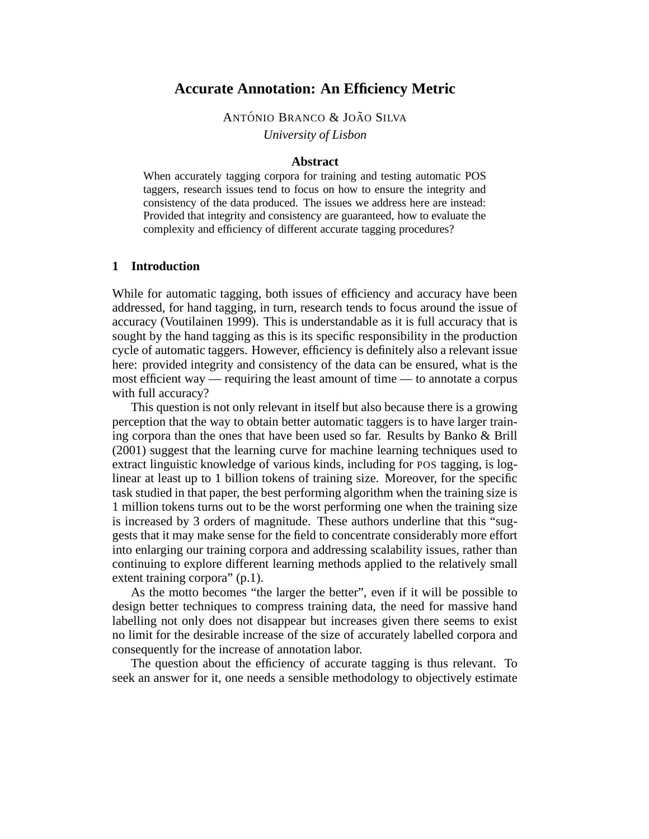# **Accurate Annotation: An Efficiency Metric**

ANTÓNIO BRANCO & JOÃO SILVA *University of Lisbon*

#### **Abstract**

When accurately tagging corpora for training and testing automatic POS taggers, research issues tend to focus on how to ensure the integrity and consistency of the data produced. The issues we address here are instead: Provided that integrity and consistency are guaranteed, how to evaluate the complexity and efficiency of different accurate tagging procedures?

### **1 Introduction**

While for automatic tagging, both issues of efficiency and accuracy have been addressed, for hand tagging, in turn, research tends to focus around the issue of accuracy (Voutilainen 1999). This is understandable as it is full accuracy that is sought by the hand tagging as this is its specific responsibility in the production cycle of automatic taggers. However, efficiency is definitely also a relevant issue here: provided integrity and consistency of the data can be ensured, what is the most efficient way — requiring the least amount of time — to annotate a corpus with full accuracy?

This question is not only relevant in itself but also because there is a growing perception that the way to obtain better automatic taggers is to have larger training corpora than the ones that have been used so far. Results by Banko & Brill (2001) suggest that the learning curve for machine learning techniques used to extract linguistic knowledge of various kinds, including for POS tagging, is loglinear at least up to 1 billion tokens of training size. Moreover, for the specific task studied in that paper, the best performing algorithm when the training size is 1 million tokens turns out to be the worst performing one when the training size is increased by 3 orders of magnitude. These authors underline that this "suggests that it may make sense for the field to concentrate considerably more effort into enlarging our training corpora and addressing scalability issues, rather than continuing to explore different learning methods applied to the relatively small extent training corpora" (p.1).

As the motto becomes "the larger the better", even if it will be possible to design better techniques to compress training data, the need for massive hand labelling not only does not disappear but increases given there seems to exist no limit for the desirable increase of the size of accurately labelled corpora and consequently for the increase of annotation labor.

The question about the efficiency of accurate tagging is thus relevant. To seek an answer for it, one needs a sensible methodology to objectively estimate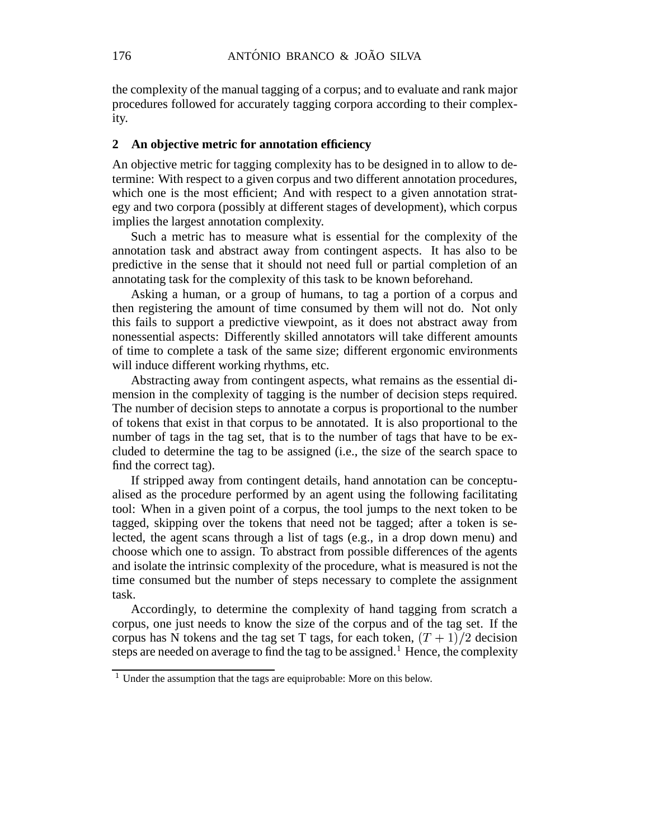the complexity of the manual tagging of a corpus; and to evaluate and rank major procedures followed for accurately tagging corpora according to their complexity.

## **2 An objective metric for annotation efficiency**

An objective metric for tagging complexity has to be designed in to allow to determine: With respect to a given corpus and two different annotation procedures, which one is the most efficient; And with respect to a given annotation strategy and two corpora (possibly at different stages of development), which corpus implies the largest annotation complexity.

Such a metric has to measure what is essential for the complexity of the annotation task and abstract away from contingent aspects. It has also to be predictive in the sense that it should not need full or partial completion of an annotating task for the complexity of this task to be known beforehand.

Asking a human, or a group of humans, to tag a portion of a corpus and then registering the amount of time consumed by them will not do. Not only this fails to support a predictive viewpoint, as it does not abstract away from nonessential aspects: Differently skilled annotators will take different amounts of time to complete a task of the same size; different ergonomic environments will induce different working rhythms, etc.

Abstracting away from contingent aspects, what remains as the essential dimension in the complexity of tagging is the number of decision steps required. The number of decision steps to annotate a corpus is proportional to the number of tokens that exist in that corpus to be annotated. It is also proportional to the number of tags in the tag set, that is to the number of tags that have to be excluded to determine the tag to be assigned (i.e., the size of the search space to find the correct tag).

If stripped away from contingent details, hand annotation can be conceptualised as the procedure performed by an agent using the following facilitating tool: When in a given point of a corpus, the tool jumps to the next token to be tagged, skipping over the tokens that need not be tagged; after a token is selected, the agent scans through a list of tags (e.g., in a drop down menu) and choose which one to assign. To abstract from possible differences of the agents and isolate the intrinsic complexity of the procedure, what is measured is not the time consumed but the number of steps necessary to complete the assignment task.

Accordingly, to determine the complexity of hand tagging from scratch a corpus, one just needs to know the size of the corpus and of the tag set. If the corpus has N tokens and the tag set T tags, for each token,  $(T + 1)/2$  decision steps are needed on average to find the tag to be assigned.<sup>1</sup> Hence, the complexity

 $<sup>1</sup>$  Under the assumption that the tags are equiprobable: More on this below.</sup>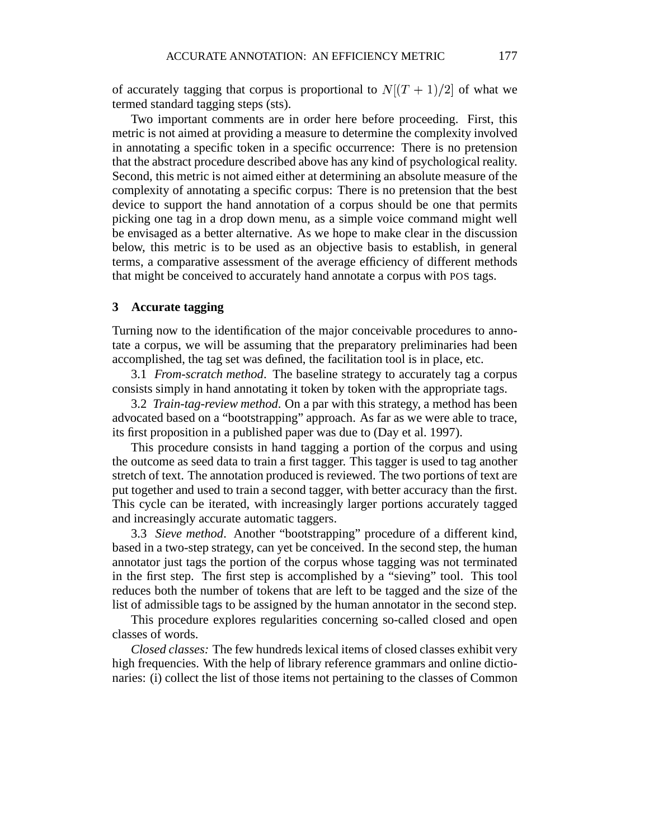of accurately tagging that corpus is proportional to  $N[(T+1)/2]$  of what we termed standard tagging steps (sts).

Two important comments are in order here before proceeding. First, this metric is not aimed at providing a measure to determine the complexity involved in annotating a specific token in a specific occurrence: There is no pretension that the abstract procedure described above has any kind of psychological reality. Second, this metric is not aimed either at determining an absolute measure of the complexity of annotating a specific corpus: There is no pretension that the best device to support the hand annotation of a corpus should be one that permits picking one tag in a drop down menu, as a simple voice command might well be envisaged as a better alternative. As we hope to make clear in the discussion below, this metric is to be used as an objective basis to establish, in general terms, a comparative assessment of the average efficiency of different methods that might be conceived to accurately hand annotate a corpus with POS tags.

#### **3 Accurate tagging**

Turning now to the identification of the major conceivable procedures to annotate a corpus, we will be assuming that the preparatory preliminaries had been accomplished, the tag set was defined, the facilitation tool is in place, etc.

3.1 *From-scratch method*. The baseline strategy to accurately tag a corpus consists simply in hand annotating it token by token with the appropriate tags.

3.2 *Train-tag-review method*. On a par with this strategy, a method has been advocated based on a "bootstrapping" approach. As far as we were able to trace, its first proposition in a published paper was due to (Day et al. 1997).

This procedure consists in hand tagging a portion of the corpus and using the outcome as seed data to train a first tagger. This tagger is used to tag another stretch of text. The annotation produced is reviewed. The two portions of text are put together and used to train a second tagger, with better accuracy than the first. This cycle can be iterated, with increasingly larger portions accurately tagged and increasingly accurate automatic taggers.

3.3 *Sieve method*. Another "bootstrapping" procedure of a different kind, based in a two-step strategy, can yet be conceived. In the second step, the human annotator just tags the portion of the corpus whose tagging was not terminated in the first step. The first step is accomplished by a "sieving" tool. This tool reduces both the number of tokens that are left to be tagged and the size of the list of admissible tags to be assigned by the human annotator in the second step.

This procedure explores regularities concerning so-called closed and open classes of words.

*Closed classes:* The few hundreds lexical items of closed classes exhibit very high frequencies. With the help of library reference grammars and online dictionaries: (i) collect the list of those items not pertaining to the classes of Common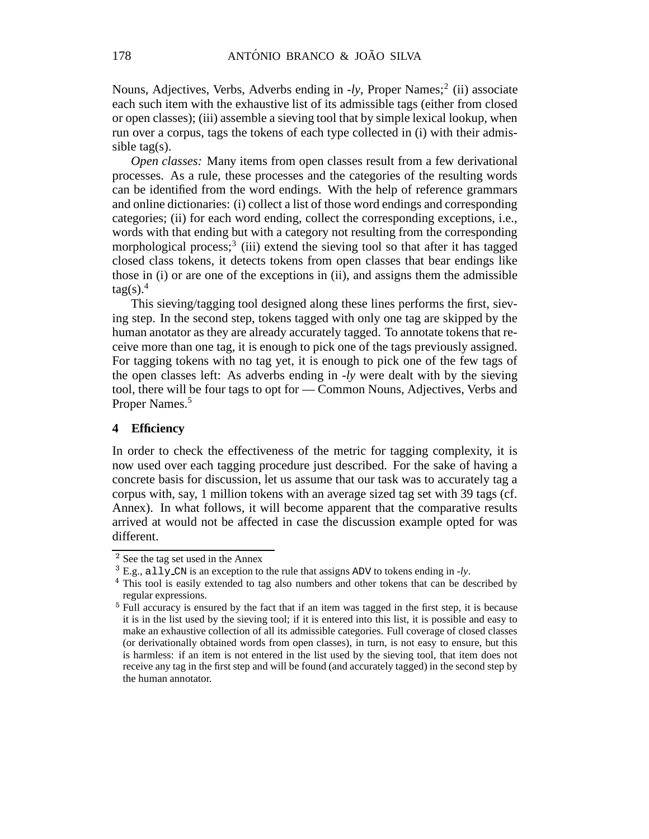Nouns, Adjectives, Verbs, Adverbs ending in *-ly*, Proper Names;<sup>2</sup> (ii) associate each such item with the exhaustive list of its admissible tags (either from closed or open classes); (iii) assemble a sieving tool that by simple lexical lookup, when run over a corpus, tags the tokens of each type collected in (i) with their admissible tag(s).

*Open classes:* Many items from open classes result from a few derivational processes. As a rule, these processes and the categories of the resulting words can be identified from the word endings. With the help of reference grammars and online dictionaries: (i) collect a list of those word endings and corresponding categories; (ii) for each word ending, collect the corresponding exceptions, i.e., words with that ending but with a category not resulting from the corresponding morphological process;<sup>3</sup> (iii) extend the sieving tool so that after it has tagged closed class tokens, it detects tokens from open classes that bear endings like those in (i) or are one of the exceptions in (ii), and assigns them the admissible  $tag(s).<sup>4</sup>$ 

This sieving/tagging tool designed along these lines performs the first, sieving step. In the second step, tokens tagged with only one tag are skipped by the human anotator as they are already accurately tagged. To annotate tokens that receive more than one tag, it is enough to pick one of the tags previously assigned. For tagging tokens with no tag yet, it is enough to pick one of the few tags of the open classes left: As adverbs ending in *-ly* were dealt with by the sieving tool, there will be four tags to opt for — Common Nouns, Adjectives, Verbs and Proper Names.<sup>5</sup>

## **4 Efficiency**

In order to check the effectiveness of the metric for tagging complexity, it is now used over each tagging procedure just described. For the sake of having a concrete basis for discussion, let us assume that our task was to accurately tag a corpus with, say, 1 million tokens with an average sized tag set with 39 tags (cf. Annex). In what follows, it will become apparent that the comparative results arrived at would not be affected in case the discussion example opted for was different.

 $2$  See the tag set used in the Annex

E.g., ally CN is an exception to the rule that assigns ADV to tokens ending in *-ly*.

<sup>&</sup>lt;sup>4</sup> This tool is easily extended to tag also numbers and other tokens that can be described by regular expressions.

 $<sup>5</sup>$  Full accuracy is ensured by the fact that if an item was tagged in the first step, it is because</sup> it is in the list used by the sieving tool; if it is entered into this list, it is possible and easy to make an exhaustive collection of all its admissible categories. Full coverage of closed classes (or derivationally obtained words from open classes), in turn, is not easy to ensure, but this is harmless: if an item is not entered in the list used by the sieving tool, that item does not receive any tag in the first step and will be found (and accurately tagged) in the second step by the human annotator.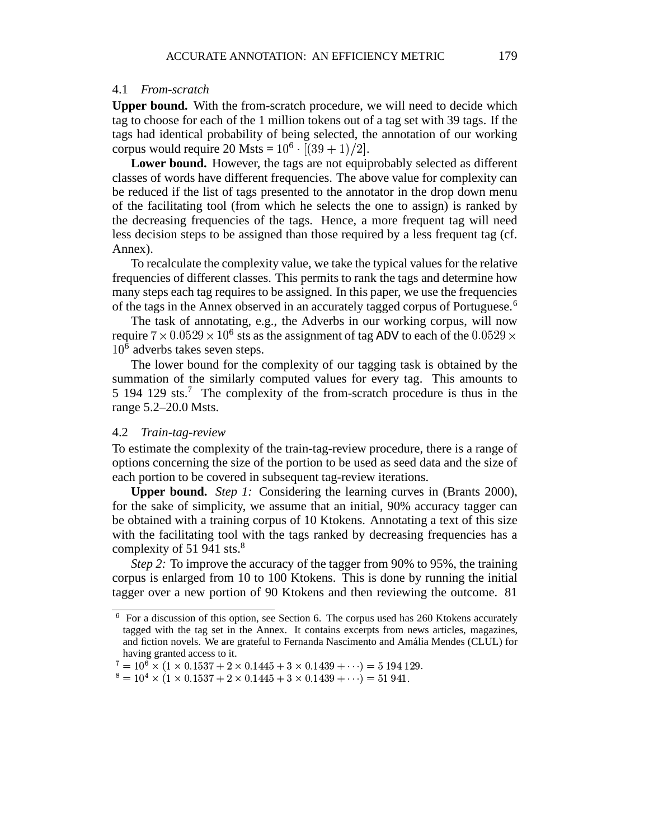#### 4.1 *From-scratch*

**Upper bound.** With the from-scratch procedure, we will need to decide which tag to choose for each of the 1 million tokens out of a tag set with 39 tags. If the tags had identical probability of being selected, the annotation of our working corpus would require 20 Msts =  $10^6 \cdot [(39 + 1)/2]$ .

**Lower bound.** However, the tags are not equiprobably selected as different classes of words have different frequencies. The above value for complexity can be reduced if the list of tags presented to the annotator in the drop down menu of the facilitating tool (from which he selects the one to assign) is ranked by the decreasing frequencies of the tags. Hence, a more frequent tag will need less decision steps to be assigned than those required by a less frequent tag (cf. Annex).

To recalculate the complexity value, we take the typical valuesfor the relative frequencies of different classes. This permits to rank the tags and determine how many steps each tag requires to be assigned. In this paper, we use the frequencies of the tags in the Annex observed in an accurately tagged corpus of Portuguese.<sup>6</sup>

The task of annotating, e.g., the Adverbs in our working corpus, will now require  $7\times0.0529\times10^6$  sts as t  $10^6$  sts as the assignment of tag ADV to each of the  $0.0529 \times$  $10^6$  adverbs takes seven steps.

The lower bound for the complexity of our tagging task is obtained by the summation of the similarly computed values for every tag. This amounts to 5 194 129 sts.<sup>7</sup> The complexity of the from-scratch procedure is thus in the range 5.2–20.0 Msts.

#### 4.2 *Train-tag-review*

To estimate the complexity of the train-tag-review procedure, there is a range of options concerning the size of the portion to be used as seed data and the size of each portion to be covered in subsequent tag-review iterations.

**Upper bound.** *Step 1:* Considering the learning curves in (Brants 2000), for the sake of simplicity, we assume that an initial, 90% accuracy tagger can be obtained with a training corpus of 10 Ktokens. Annotating a text of this size with the facilitating tool with the tags ranked by decreasing frequencies has a complexity of 51 941 sts.<sup>8</sup>

*Step 2:* To improve the accuracy of the tagger from 90% to 95%, the training corpus is enlarged from 10 to 100 Ktokens. This is done by running the initial tagger over a new portion of 90 Ktokens and then reviewing the outcome. 81

 $6\text{ }$  For a discussion of this option, see Section 6. The corpus used has 260 Ktokens accurately tagged with the tag set in the Annex. It contains excerpts from news articles, magazines, and fiction novels. We are grateful to Fernanda Nascimento and Amália Mendes (CLUL) for having granted access to it.

 $\frac{7}{1} = 10^6 \times (1 \times 0.1537 + 2 \times 0.1445 + 3 \times 0.1439 + \cdots) = 5194129.$ 

 $x^8 = 10^4 \times (1 \times 0.1537 + 2 \times 0.1445 + 3 \times 0.1439 + \cdots) = 51941.$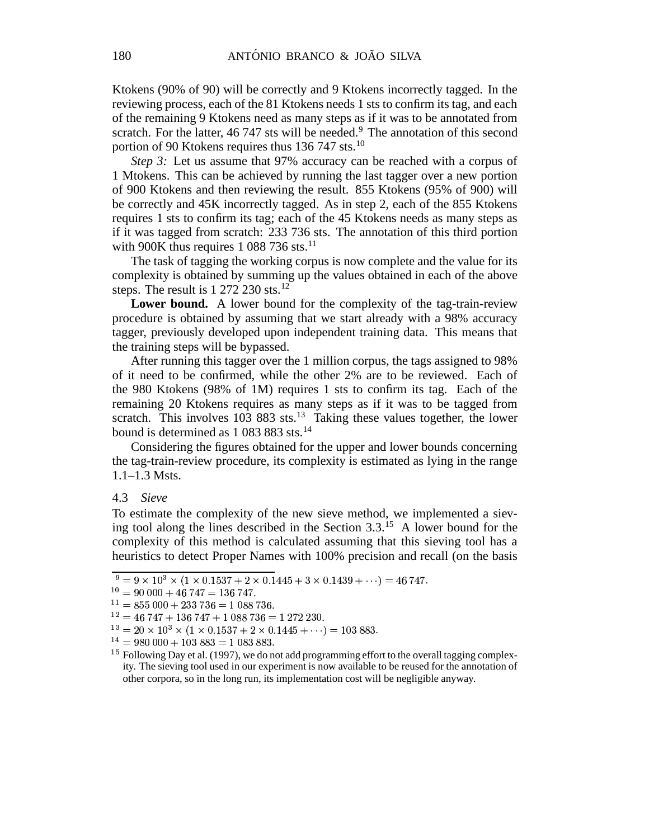Ktokens (90% of 90) will be correctly and 9 Ktokens incorrectly tagged. In the reviewing process, each of the 81 Ktokens needs 1 sts to confirm its tag, and each of the remaining 9 Ktokens need as many steps as if it was to be annotated from scratch. For the latter,  $46747$  sts will be needed.<sup>9</sup> The annotation of this second portion of 90 Ktokens requires thus 136 747 sts.<sup>10</sup>

*Step 3:* Let us assume that 97% accuracy can be reached with a corpus of 1 Mtokens. This can be achieved by running the last tagger over a new portion of 900 Ktokens and then reviewing the result. 855 Ktokens (95% of 900) will be correctly and 45K incorrectly tagged. As in step 2, each of the 855 Ktokens requires 1 sts to confirm its tag; each of the 45 Ktokens needs as many steps as if it was tagged from scratch: 233 736 sts. The annotation of this third portion with 900K thus requires 1 088 736 sts.<sup>11</sup>

The task of tagging the working corpus is now complete and the value for its complexity is obtained by summing up the values obtained in each of the above steps. The result is 1 272 230 sts.<sup>12</sup>

**Lower bound.** A lower bound for the complexity of the tag-train-review procedure is obtained by assuming that we start already with a 98% accuracy tagger, previously developed upon independent training data. This means that the training steps will be bypassed.

After running this tagger over the 1 million corpus, the tags assigned to 98% of it need to be confirmed, while the other 2% are to be reviewed. Each of the 980 Ktokens (98% of 1M) requires 1 sts to confirm its tag. Each of the remaining 20 Ktokens requires as many steps as if it was to be tagged from scratch. This involves  $103\,883\,$  sts.<sup>13</sup> Taking these values together, the lower bound is determined as 1 083 883 sts.<sup>14</sup>

Considering the figures obtained for the upper and lower bounds concerning the tag-train-review procedure, its complexity is estimated as lying in the range 1.1–1.3 Msts.

4.3 *Sieve*

To estimate the complexity of the new sieve method, we implemented a sieving tool along the lines described in the Section 3.3.<sup>15</sup> A lower bound for the complexity of this method is calculated assuming that this sieving tool has a heuristics to detect Proper Names with 100% precision and recall (on the basis

 $8^9 = 9 \times 10^3 \times (1 \times 0.1537 + 2 \times 0.1445 + 3 \times 0.1439 + \cdots) = 46747.$ 

 $3^{10} = 90\ 000 + 46\ 747 = 136\ 747.$ 

 $^{11}$  = 855 000 + 233 736 = 1 088 736.

 $3^{12} = 46\,747 + 136\,747 + 1\,088\,736 = 1\,272\,230.$ 

 $^{13}$  = 20 × 10<sup>3</sup> × (1 × 0.1537 + 2 × 0.1445 + ···) = 103 883.

 $1^4 = 980\,000 + 103\,883 = 1\,083\,883.$ 

 $^{15}$  Following Day et al. (1997), we do not add programming effort to the overall tagging complexity. The sieving tool used in our experiment is now available to be reused for the annotation of other corpora, so in the long run, its implementation cost will be negligible anyway.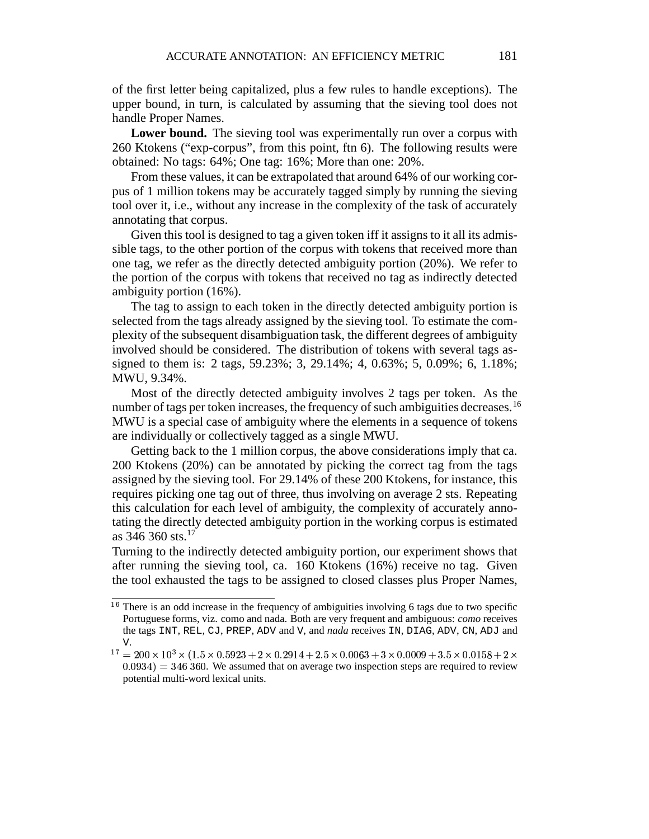of the first letter being capitalized, plus a few rules to handle exceptions). The upper bound, in turn, is calculated by assuming that the sieving tool does not handle Proper Names.

**Lower bound.** The sieving tool was experimentally run over a corpus with 260 Ktokens ("exp-corpus", from this point, ftn 6). The following results were obtained: No tags: 64%; One tag: 16%; More than one: 20%.

From these values, it can be extrapolated that around 64% of our working corpus of 1 million tokens may be accurately tagged simply by running the sieving tool over it, i.e., without any increase in the complexity of the task of accurately annotating that corpus.

Given this tool is designed to tag a given token iff it assigns to it all its admissible tags, to the other portion of the corpus with tokens that received more than one tag, we refer as the directly detected ambiguity portion (20%). We refer to the portion of the corpus with tokens that received no tag as indirectly detected ambiguity portion (16%).

The tag to assign to each token in the directly detected ambiguity portion is selected from the tags already assigned by the sieving tool. To estimate the complexity of the subsequent disambiguation task, the different degrees of ambiguity involved should be considered. The distribution of tokens with several tags assigned to them is: 2 tags, 59.23%; 3, 29.14%; 4, 0.63%; 5, 0.09%; 6, 1.18%; MWU, 9.34%.

Most of the directly detected ambiguity involves 2 tags per token. As the number of tags per token increases, the frequency of such ambiguities decreases.<sup>16</sup> MWU is a special case of ambiguity where the elements in a sequence of tokens are individually or collectively tagged as a single MWU.

Getting back to the 1 million corpus, the above considerations imply that ca. 200 Ktokens (20%) can be annotated by picking the correct tag from the tags assigned by the sieving tool. For 29.14% of these 200 Ktokens, for instance, this requires picking one tag out of three, thus involving on average 2 sts. Repeating this calculation for each level of ambiguity, the complexity of accurately annotating the directly detected ambiguity portion in the working corpus is estimated as  $346,360$  sts.<sup>17</sup>

Turning to the indirectly detected ambiguity portion, our experiment shows that after running the sieving tool, ca. 160 Ktokens (16%) receive no tag. Given the tool exhausted the tags to be assigned to closed classes plus Proper Names,

 $16$  There is an odd increase in the frequency of ambiguities involving 6 tags due to two specific Portuguese forms, viz. como and nada. Both are very frequent and ambiguous: *como* receives the tags INT, REL, CJ, PREP, ADV and V, and *nada* receives IN, DIAG, ADV, CN, ADJ and V.

 $^{17}=200\times10^{3}\times(1.5\times0.5923+2\times0.2914+2.5\times0.0063+3\times0.0009+3.5\times0.0158+2\times$  $(0.0934) = 346360$ . We assumed that on average two inspection steps are required to review potential multi-word lexical units.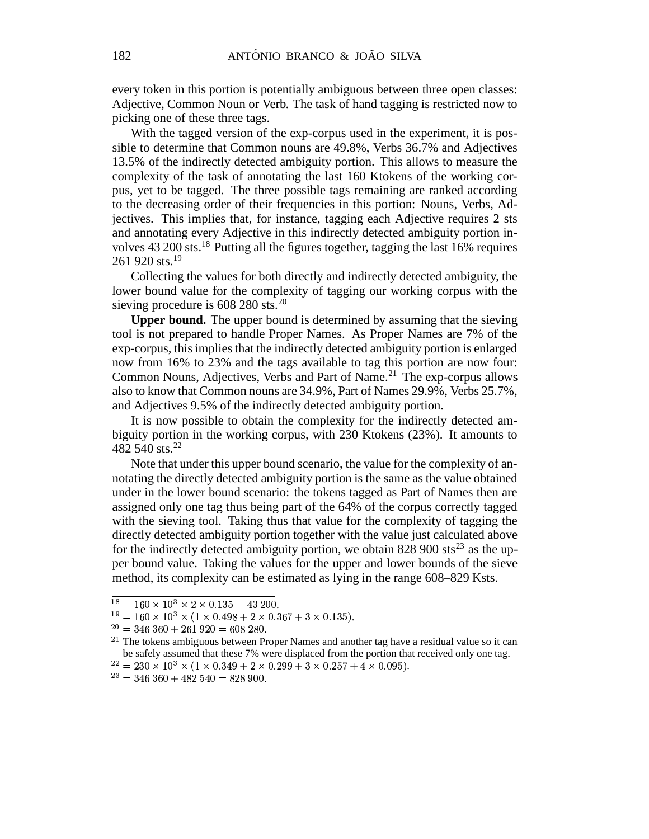every token in this portion is potentially ambiguous between three open classes: Adjective, Common Noun or Verb. The task of hand tagging is restricted now to picking one of these three tags.

With the tagged version of the exp-corpus used in the experiment, it is possible to determine that Common nouns are 49.8%, Verbs 36.7% and Adjectives 13.5% of the indirectly detected ambiguity portion. This allows to measure the complexity of the task of annotating the last 160 Ktokens of the working corpus, yet to be tagged. The three possible tags remaining are ranked according to the decreasing order of their frequencies in this portion: Nouns, Verbs, Adjectives. This implies that, for instance, tagging each Adjective requires 2 sts and annotating every Adjective in this indirectly detected ambiguity portion involves  $43\,200$  sts.<sup>18</sup> Putting all the figures together, tagging the last 16% requires 261 920 sts. $^{19}$ 

Collecting the values for both directly and indirectly detected ambiguity, the lower bound value for the complexity of tagging our working corpus with the sieving procedure is 608 280 sts.<sup>20</sup>

**Upper bound.** The upper bound is determined by assuming that the sieving tool is not prepared to handle Proper Names. As Proper Names are 7% of the exp-corpus, thisimpliesthat the indirectly detected ambiguity portion is enlarged now from 16% to 23% and the tags available to tag this portion are now four: Common Nouns, Adjectives, Verbs and Part of Name.<sup>21</sup> The exp-corpus allows also to know that Common nouns are 34.9%, Part of Names 29.9%, Verbs 25.7%, and Adjectives 9.5% of the indirectly detected ambiguity portion.

It is now possible to obtain the complexity for the indirectly detected ambiguity portion in the working corpus, with 230 Ktokens (23%). It amounts to 482 540 sts.<sup>22</sup>

Note that under this upper bound scenario, the value for the complexity of annotating the directly detected ambiguity portion is the same as the value obtained under in the lower bound scenario: the tokens tagged as Part of Names then are assigned only one tag thus being part of the 64% of the corpus correctly tagged with the sieving tool. Taking thus that value for the complexity of tagging the directly detected ambiguity portion together with the value just calculated above for the indirectly detected ambiguity portion, we obtain 828 900 sts<sup>23</sup> as the upper bound value. Taking the values for the upper and lower bounds of the sieve method, its complexity can be estimated as lying in the range 608–829 Ksts.

 $^{23}$  = 346 360 + 482 540 = 828 900.

 $^{18} = 160 \times 10^3 \times 2 \times 0.135 = 43200.$ 

 $^{19}$  = 160  $\times$  10<sup>3</sup>  $\times$  (1  $\times$  0.498 + 2  $\times$  0.367 + 3  $\times$  0.135).

 $^{20}$  = 346 360 + 261 920 = 608 280.

 $2<sup>1</sup>$  The tokens ambiguous between Proper Names and another tag have a residual value so it can be safely assumed that these 7% were displaced from the portion that received only one tag.

 $^{22} = 230 \times 10^3 \times (1 \times 0.349 + 2 \times 0.299 + 3 \times 0.257 + 4 \times 0.095).$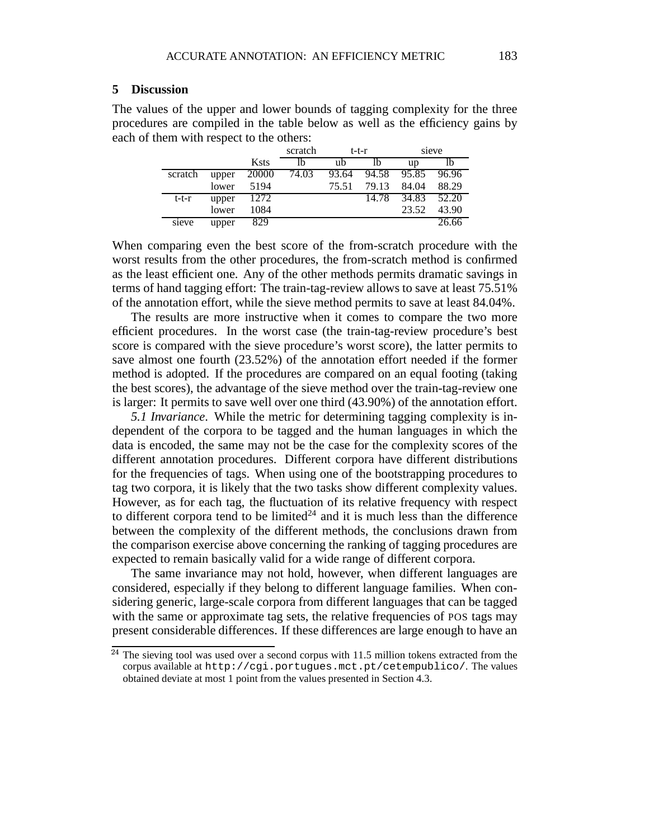#### **5 Discussion**

The values of the upper and lower bounds of tagging complexity for the three procedures are compiled in the table below as well as the efficiency gains by each of them with respect to the others:

|         |       |             | scratch | t-t-r |       | sieve |       |
|---------|-------|-------------|---------|-------|-------|-------|-------|
|         |       | <b>Ksts</b> | lb      | ub    | Ib    | up    | lb    |
| scratch | upper | 20000       | 74.03   | 93.64 | 94.58 | 95.85 | 96.96 |
|         | lower | 5194        |         | 75.51 | 79.13 | 84.04 | 88.29 |
| t-t-r   | upper | 1272        |         |       | 14.78 | 34.83 | 52.20 |
|         | lower | 1084        |         |       |       | 23.52 | 43.90 |
| sieve   | upper | 829         |         |       |       |       | 26.66 |

When comparing even the best score of the from-scratch procedure with the worst results from the other procedures, the from-scratch method is confirmed as the least efficient one. Any of the other methods permits dramatic savings in terms of hand tagging effort: The train-tag-review allows to save at least 75.51% of the annotation effort, while the sieve method permits to save at least 84.04%.

The results are more instructive when it comes to compare the two more efficient procedures. In the worst case (the train-tag-review procedure's best score is compared with the sieve procedure's worst score), the latter permits to save almost one fourth (23.52%) of the annotation effort needed if the former method is adopted. If the procedures are compared on an equal footing (taking the best scores), the advantage of the sieve method over the train-tag-review one is larger: It permits to save well over one third (43.90%) of the annotation effort.

*5.1 Invariance*. While the metric for determining tagging complexity is independent of the corpora to be tagged and the human languages in which the data is encoded, the same may not be the case for the complexity scores of the different annotation procedures. Different corpora have different distributions for the frequencies of tags. When using one of the bootstrapping procedures to tag two corpora, it is likely that the two tasks show different complexity values. However, as for each tag, the fluctuation of its relative frequency with respect to different corpora tend to be limited $^{24}$  and it is much less than the difference between the complexity of the different methods, the conclusions drawn from the comparison exercise above concerning the ranking of tagging procedures are expected to remain basically valid for a wide range of different corpora.

The same invariance may not hold, however, when different languages are considered, especially if they belong to different language families. When considering generic, large-scale corpora from different languages that can be tagged with the same or approximate tag sets, the relative frequencies of POS tags may present considerable differences. If these differences are large enough to have an

 $24$  The sieving tool was used over a second corpus with 11.5 million tokens extracted from the corpus available at http://cgi.portugues.mct.pt/cetempublico/. The values obtained deviate at most 1 point from the values presented in Section 4.3.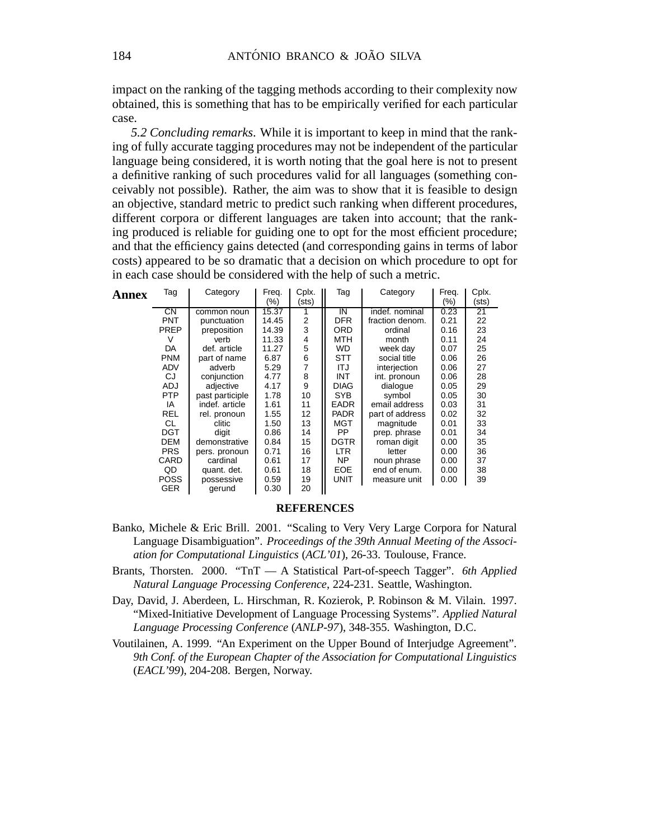impact on the ranking of the tagging methods according to their complexity now obtained, this is something that has to be empirically verified for each particular case.

*5.2 Concluding remarks*. While it is important to keep in mind that the ranking of fully accurate tagging procedures may not be independent of the particular language being considered, it is worth noting that the goal here is not to present a definitive ranking of such procedures valid for all languages (something conceivably not possible). Rather, the aim was to show that it is feasible to design an objective, standard metric to predict such ranking when different procedures, different corpora or different languages are taken into account; that the ranking produced is reliable for guiding one to opt for the most efficient procedure; and that the efficiency gains detected (and corresponding gains in terms of labor costs) appeared to be so dramatic that a decision on which procedure to opt for in each case should be considered with the help of such a metric.

| <b>Annex</b> | Tag                                                                                 | Category        | Freq. | Cplx.          | Tag         | Category        | Freq. | Cplx.           |
|--------------|-------------------------------------------------------------------------------------|-----------------|-------|----------------|-------------|-----------------|-------|-----------------|
|              |                                                                                     |                 | (%)   | (sts)          |             |                 | (%)   | (sts)           |
|              | CN                                                                                  | common noun     | 15.37 |                | ĪN          | indef. nominal  | 0.23  | $\overline{21}$ |
|              | <b>PNT</b>                                                                          | punctuation     | 14.45 | 2              | <b>DFR</b>  | fraction denom. | 0.21  | 22              |
|              | <b>PREP</b>                                                                         | preposition     | 14.39 | 3              | <b>ORD</b>  | ordinal         | 0.16  | 23              |
|              | $\vee$                                                                              | verb            | 11.33 | 4              | MTH         | month           | 0.11  | 24              |
|              | DA                                                                                  | def. article    | 11.27 | 5              | WD.         | week day        | 0.07  | 25              |
|              | <b>PNM</b>                                                                          | part of name    | 6.87  | 6              | STT         | social title    | 0.06  | 26              |
|              | <b>ADV</b>                                                                          | adverb          | 5.29  | $\overline{7}$ | ITJ         | interjection    | 0.06  | 27              |
|              | CJ                                                                                  | conjunction     | 4.77  | 8              | INT         | int. pronoun    | 0.06  | 28              |
|              | ADJ                                                                                 | adjective       | 4.17  | 9              | <b>DIAG</b> | dialogue        | 0.05  | 29              |
|              | <b>PTP</b>                                                                          | past participle | 1.78  | 10             | <b>SYB</b>  | symbol          | 0.05  | 30              |
|              | IA<br>indef. article<br><b>REL</b><br>rel. pronoun<br>CL.<br>clitic<br>DGT<br>digit |                 | 1.61  | 11             | EADR        | email address   | 0.03  | 31              |
|              |                                                                                     |                 | 1.55  | 12             | <b>PADR</b> | part of address | 0.02  | 32              |
|              |                                                                                     |                 | 1.50  | 13             | MGT         | magnitude       | 0.01  | 33              |
|              |                                                                                     |                 | 0.86  | 14             | PP.         | prep. phrase    | 0.01  | 34              |
|              | DEM                                                                                 | demonstrative   | 0.84  | 15             | <b>DGTR</b> | roman digit     | 0.00  | 35              |
|              | <b>PRS</b>                                                                          | pers. pronoun   | 0.71  | 16             | <b>LTR</b>  | letter          | 0.00  | 36              |
|              | CARD                                                                                | cardinal        | 0.61  | 17             | NP.         | noun phrase     | 0.00  | 37              |
|              | QD                                                                                  | quant. det.     | 0.61  | 18             | <b>EOE</b>  | end of enum.    | 0.00  | 38              |
|              | <b>POSS</b>                                                                         | possessive      | 0.59  | 19             | UNIT        | measure unit    | 0.00  | 39              |
|              | GER                                                                                 | gerund          | 0.30  | 20             |             |                 |       |                 |

#### **REFERENCES**

- Banko, Michele & Eric Brill. 2001. "Scaling to Very Very Large Corpora for Natural Language Disambiguation". *Proceedings of the 39th Annual Meeting of the Association for Computational Linguistics* (*ACL'01*), 26-33. Toulouse, France.
- Brants, Thorsten. 2000. "TnT A Statistical Part-of-speech Tagger". *6th Applied Natural Language Processing Conference*, 224-231. Seattle, Washington.
- Day, David, J. Aberdeen, L. Hirschman, R. Kozierok, P. Robinson & M. Vilain. 1997. "Mixed-Initiative Development of Language Processing Systems". *Applied Natural Language Processing Conference* (*ANLP-97*), 348-355. Washington, D.C.
- Voutilainen, A. 1999. "An Experiment on the Upper Bound of Interjudge Agreement". *9th Conf. of the European Chapter of the Association for Computational Linguistics* (*EACL'99*), 204-208. Bergen, Norway.